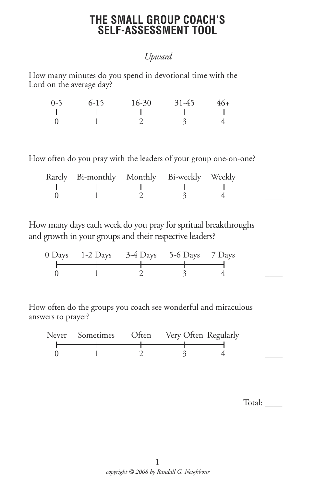### **THE SMALL GROUP COACH'S SELF-ASSESSMENT TOOL**

### *Upward*

How many minutes do you spend in devotional time with the Lord on the average day?

| $0-5$ $6-15$ $16-30$ $31-45$ $46+$ |  |  |
|------------------------------------|--|--|
|                                    |  |  |
|                                    |  |  |

How often do you pray with the leaders of your group one-on-one?

| Rarely Bi-monthly Monthly Bi-weekly Weekly |  |  |
|--------------------------------------------|--|--|
|                                            |  |  |
|                                            |  |  |
|                                            |  |  |
|                                            |  |  |

How many days each week do you pray for spritual breakthroughs and growth in your groups and their respective leaders?

| $0$ Days 1-2 Days 3-4 Days 5-6 Days 7 Days |  |  |
|--------------------------------------------|--|--|
|                                            |  |  |
|                                            |  |  |
|                                            |  |  |
|                                            |  |  |

How often do the groups you coach see wonderful and miraculous answers to prayer?



Total: \_\_\_\_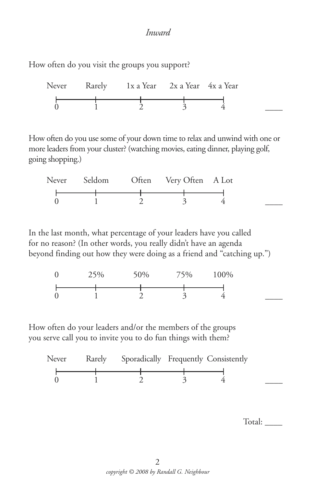#### *Inward*

How often do you visit the groups you support?



How often do you use some of your down time to relax and unwind with one or more leaders from your cluster? (watching movies, eating dinner, playing golf, going shopping.)

|  | Never Seldom Often Very Often A Lot |  |
|--|-------------------------------------|--|
|  |                                     |  |
|  |                                     |  |
|  |                                     |  |

In the last month, what percentage of your leaders have you called for no reason? (In other words, you really didn't have an agenda beyond finding out how they were doing as a friend and "catching up.")

| Ü                | 25% | $0\%$ | $5\%$                    | 100% |  |
|------------------|-----|-------|--------------------------|------|--|
|                  |     |       |                          |      |  |
| $\boldsymbol{0}$ |     |       | $\overline{\phantom{a}}$ |      |  |

How often do your leaders and/or the members of the groups you serve call you to invite you to do fun things with them?



Total: \_\_\_\_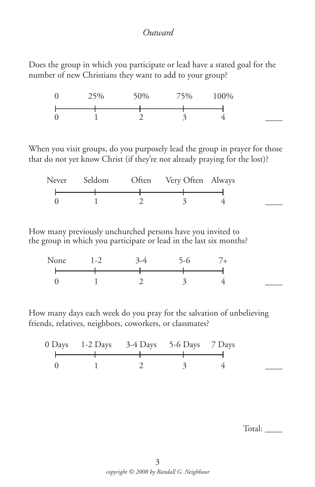#### *Outward*

Does the group in which you participate or lead have a stated goal for the number of new Christians they want to add to your group?

| $\theta$         | 25% | 50% | 75%          | $00\%$ |
|------------------|-----|-----|--------------|--------|
|                  |     |     |              |        |
| $\boldsymbol{0}$ |     |     | $\checkmark$ |        |

When you visit groups, do you purposely lead the group in prayer for those that do not yet know Christ (if they're not already praying for the lost)?

|  | Never Seldom Often Very Often Always |  |
|--|--------------------------------------|--|
|  |                                      |  |
|  |                                      |  |
|  |                                      |  |

How many previously unchurched persons have you invited to the group in which you participate or lead in the last six months?

| None | $1-2$ | $5-6$ |  |
|------|-------|-------|--|
|      |       |       |  |
|      |       |       |  |

How many days each week do you pray for the salvation of unbelieving friends, relatives, neighbors, coworkers, or classmates?

| 0 Days 1-2 Days 3-4 Days 5-6 Days 7 Days |  |  |
|------------------------------------------|--|--|
|                                          |  |  |
|                                          |  |  |

Total:  $\_\_$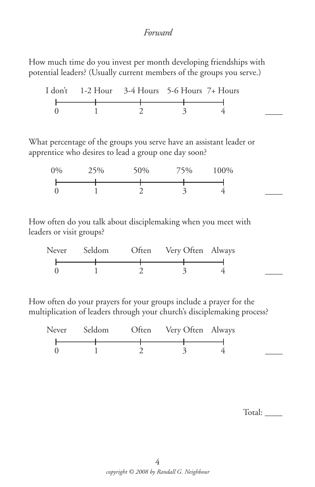#### *Forward*

How much time do you invest per month developing friendships with potential leaders? (Usually current members of the groups you serve.)

|  | I don't 1-2 Hour 3-4 Hours 5-6 Hours 7+ Hours |  |  |
|--|-----------------------------------------------|--|--|
|  |                                               |  |  |
|  |                                               |  |  |
|  |                                               |  |  |

What percentage of the groups you serve have an assistant leader or apprentice who desires to lead a group one day soon?

| $0\%$ | 25% | 50% | 75% | 100% |  |
|-------|-----|-----|-----|------|--|
|       |     |     |     |      |  |
|       |     |     |     |      |  |
|       |     |     | ັ   |      |  |

How often do you talk about disciplemaking when you meet with leaders or visit groups?

| Never Seldom | Often Very Often Always |  |
|--------------|-------------------------|--|
|              |                         |  |
|              |                         |  |
|              |                         |  |

How often do your prayers for your groups include a prayer for the multiplication of leaders through your church's disciplemaking process?

| Never Seldom | Often Very Often Always |  |
|--------------|-------------------------|--|
|              |                         |  |
|              |                         |  |
|              |                         |  |

Total: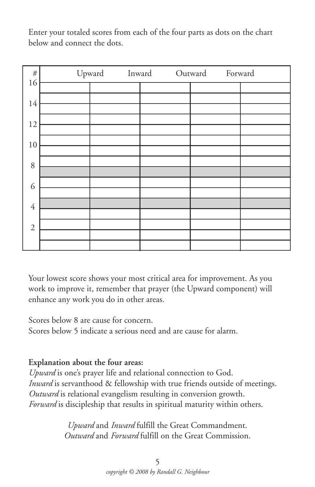Enter your totaled scores from each of the four parts as dots on the chart below and connect the dots.



Your lowest score shows your most critical area for improvement. As you work to improve it, remember that prayer (the Upward component) will enhance any work you do in other areas.

Scores below 8 are cause for concern. Scores below 5 indicate a serious need and are cause for alarm.

#### **Explanation about the four areas:**

*Upward* is one's prayer life and relational connection to God. *Inward* is servanthood & fellowship with true friends outside of meetings. *Outward* is relational evangelism resulting in conversion growth. *Forward* is discipleship that results in spiritual maturity within others.

> *Upward* and *Inward* fulfill the Great Commandment. *Outward* and *Forward* fulfill on the Great Commission.